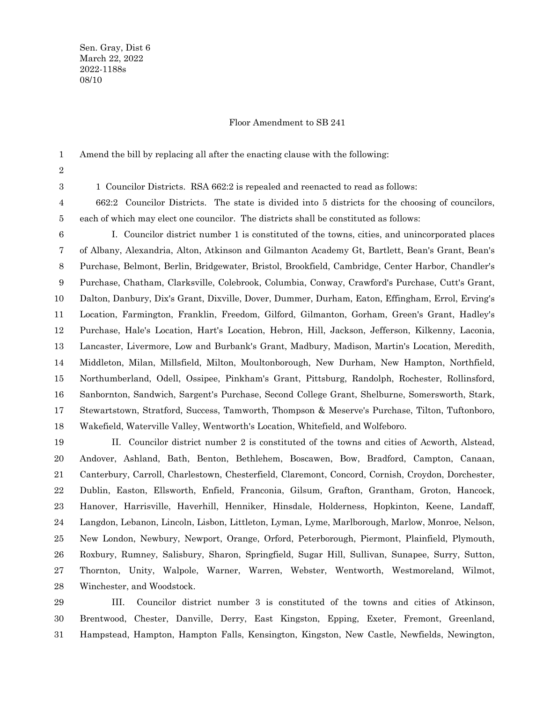Sen. Gray, Dist 6 March 22, 2022 2022-1188s 08/10

## Floor Amendment to SB 241

Amend the bill by replacing all after the enacting clause with the following: 1

2 3

1 Councilor Districts. RSA 662:2 is repealed and reenacted to read as follows:

662:2 Councilor Districts. The state is divided into 5 districts for the choosing of councilors, each of which may elect one councilor. The districts shall be constituted as follows: 4 5

I. Councilor district number 1 is constituted of the towns, cities, and unincorporated places of Albany, Alexandria, Alton, Atkinson and Gilmanton Academy Gt, Bartlett, Bean's Grant, Bean's Purchase, Belmont, Berlin, Bridgewater, Bristol, Brookfield, Cambridge, Center Harbor, Chandler's Purchase, Chatham, Clarksville, Colebrook, Columbia, Conway, Crawford's Purchase, Cutt's Grant, Dalton, Danbury, Dix's Grant, Dixville, Dover, Dummer, Durham, Eaton, Effingham, Errol, Erving's Location, Farmington, Franklin, Freedom, Gilford, Gilmanton, Gorham, Green's Grant, Hadley's Purchase, Hale's Location, Hart's Location, Hebron, Hill, Jackson, Jefferson, Kilkenny, Laconia, Lancaster, Livermore, Low and Burbank's Grant, Madbury, Madison, Martin's Location, Meredith, Middleton, Milan, Millsfield, Milton, Moultonborough, New Durham, New Hampton, Northfield, Northumberland, Odell, Ossipee, Pinkham's Grant, Pittsburg, Randolph, Rochester, Rollinsford, Sanbornton, Sandwich, Sargent's Purchase, Second College Grant, Shelburne, Somersworth, Stark, Stewartstown, Stratford, Success, Tamworth, Thompson & Meserve's Purchase, Tilton, Tuftonboro, Wakefield, Waterville Valley, Wentworth's Location, Whitefield, and Wolfeboro. 6 7 8 9 10 11 12 13 14 15 16 17 18

II. Councilor district number 2 is constituted of the towns and cities of Acworth, Alstead, Andover, Ashland, Bath, Benton, Bethlehem, Boscawen, Bow, Bradford, Campton, Canaan, Canterbury, Carroll, Charlestown, Chesterfield, Claremont, Concord, Cornish, Croydon, Dorchester, Dublin, Easton, Ellsworth, Enfield, Franconia, Gilsum, Grafton, Grantham, Groton, Hancock, Hanover, Harrisville, Haverhill, Henniker, Hinsdale, Holderness, Hopkinton, Keene, Landaff, Langdon, Lebanon, Lincoln, Lisbon, Littleton, Lyman, Lyme, Marlborough, Marlow, Monroe, Nelson, New London, Newbury, Newport, Orange, Orford, Peterborough, Piermont, Plainfield, Plymouth, Roxbury, Rumney, Salisbury, Sharon, Springfield, Sugar Hill, Sullivan, Sunapee, Surry, Sutton, Thornton, Unity, Walpole, Warner, Warren, Webster, Wentworth, Westmoreland, Wilmot, Winchester, and Woodstock. 19 20 21 22 23 24 25 26 27 28

III. Councilor district number 3 is constituted of the towns and cities of Atkinson, Brentwood, Chester, Danville, Derry, East Kingston, Epping, Exeter, Fremont, Greenland, Hampstead, Hampton, Hampton Falls, Kensington, Kingston, New Castle, Newfields, Newington, 29 30 31